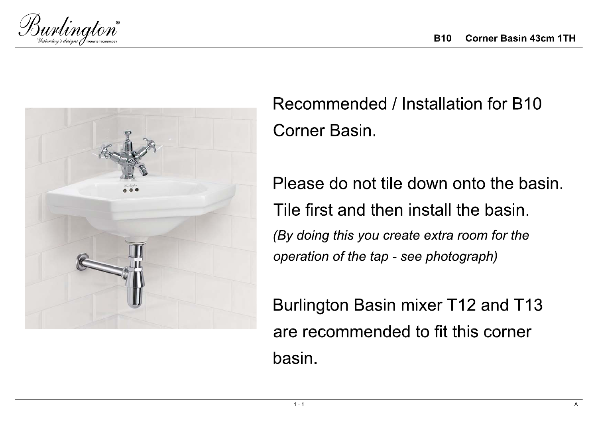



Recommended / Installation for B10 **Corner Basin.** 

Please do not tile down onto the basin. Tile first and then install the basin. (By doing this you create extra room for the operation of the tap - see photograph)

Burlington Basin mixer T12 and T13 are recommended to fit this corner basin.